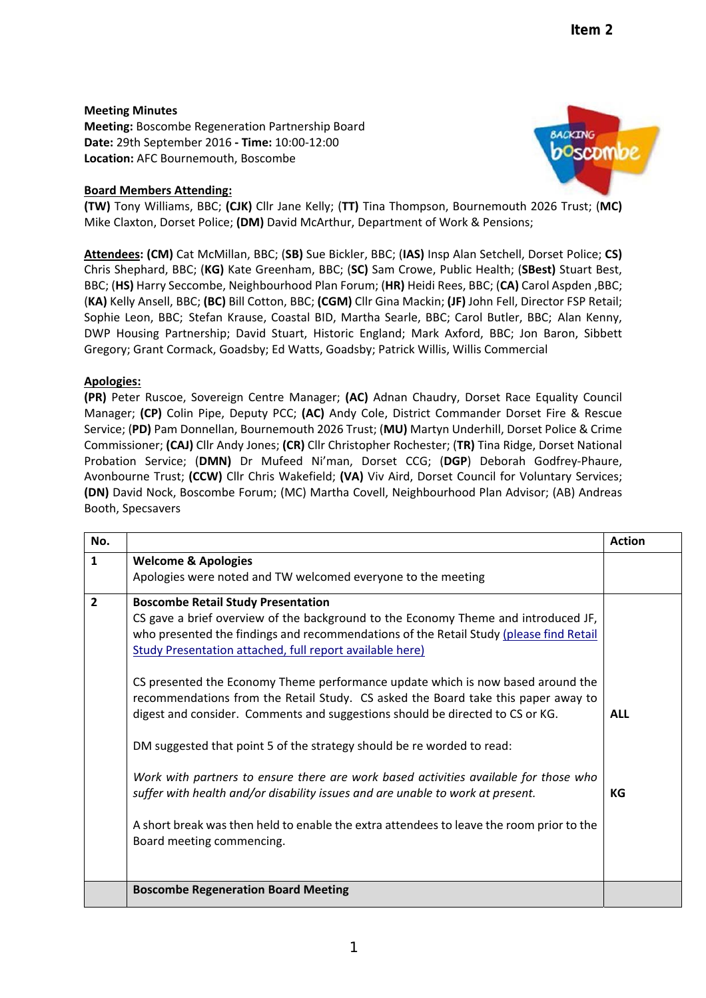## **Meeting Minutes**

**Meeting:** Boscombe Regeneration Partnership Board **Date:** 29th September 2016 **‐ Time:** 10:00‐12:00 **Location:** AFC Bournemouth, Boscombe

# **Board Members Attending:**



**(TW)** Tony Williams, BBC; **(CJK)** Cllr Jane Kelly; (**TT)** Tina Thompson, Bournemouth 2026 Trust; (**MC)** Mike Claxton, Dorset Police; **(DM)** David McArthur, Department of Work & Pensions;

**Attendees: (CM)** Cat McMillan, BBC; (**SB)** Sue Bickler, BBC; (**IAS)** Insp Alan Setchell, Dorset Police; **CS)** Chris Shephard, BBC; (**KG)** Kate Greenham, BBC; (**SC)** Sam Crowe, Public Health; (**SBest)** Stuart Best, BBC; (**HS)** Harry Seccombe, Neighbourhood Plan Forum; (**HR)** Heidi Rees, BBC; (**CA)** Carol Aspden ,BBC; (**KA)** Kelly Ansell, BBC; **(BC)** Bill Cotton, BBC; **(CGM)** Cllr Gina Mackin; **(JF)** John Fell, Director FSP Retail; Sophie Leon, BBC; Stefan Krause, Coastal BID, Martha Searle, BBC; Carol Butler, BBC; Alan Kenny, DWP Housing Partnership; David Stuart, Historic England; Mark Axford, BBC; Jon Baron, Sibbett Gregory; Grant Cormack, Goadsby; Ed Watts, Goadsby; Patrick Willis, Willis Commercial

### **Apologies:**

**(PR)** Peter Ruscoe, Sovereign Centre Manager; **(AC)** Adnan Chaudry, Dorset Race Equality Council Manager; **(CP)** Colin Pipe, Deputy PCC; **(AC)** Andy Cole, District Commander Dorset Fire & Rescue Service; (**PD)** Pam Donnellan, Bournemouth 2026 Trust; (**MU)** Martyn Underhill, Dorset Police & Crime Commissioner; **(CAJ)** Cllr Andy Jones; **(CR)** Cllr Christopher Rochester; (**TR)** Tina Ridge, Dorset National Probation Service; (**DMN)** Dr Mufeed Ni'man, Dorset CCG; (**DGP**) Deborah Godfrey‐Phaure, Avonbourne Trust; **(CCW)** Cllr Chris Wakefield; **(VA)** Viv Aird, Dorset Council for Voluntary Services; **(DN)** David Nock, Boscombe Forum; (MC) Martha Covell, Neighbourhood Plan Advisor; (AB) Andreas Booth, Specsavers

| No.            |                                                                                                                                                                                                                                                                                                                                                                                                                                                                                                                                                                                                                                                                                                                                                                                                                                                                                                                             | <b>Action</b>    |
|----------------|-----------------------------------------------------------------------------------------------------------------------------------------------------------------------------------------------------------------------------------------------------------------------------------------------------------------------------------------------------------------------------------------------------------------------------------------------------------------------------------------------------------------------------------------------------------------------------------------------------------------------------------------------------------------------------------------------------------------------------------------------------------------------------------------------------------------------------------------------------------------------------------------------------------------------------|------------------|
| $\mathbf{1}$   | <b>Welcome &amp; Apologies</b><br>Apologies were noted and TW welcomed everyone to the meeting                                                                                                                                                                                                                                                                                                                                                                                                                                                                                                                                                                                                                                                                                                                                                                                                                              |                  |
| $\overline{2}$ | <b>Boscombe Retail Study Presentation</b><br>CS gave a brief overview of the background to the Economy Theme and introduced JF,<br>who presented the findings and recommendations of the Retail Study (please find Retail<br>Study Presentation attached, full report available here)<br>CS presented the Economy Theme performance update which is now based around the<br>recommendations from the Retail Study. CS asked the Board take this paper away to<br>digest and consider. Comments and suggestions should be directed to CS or KG.<br>DM suggested that point 5 of the strategy should be re worded to read:<br>Work with partners to ensure there are work based activities available for those who<br>suffer with health and/or disability issues and are unable to work at present.<br>A short break was then held to enable the extra attendees to leave the room prior to the<br>Board meeting commencing. | <b>ALL</b><br>КG |
|                | <b>Boscombe Regeneration Board Meeting</b>                                                                                                                                                                                                                                                                                                                                                                                                                                                                                                                                                                                                                                                                                                                                                                                                                                                                                  |                  |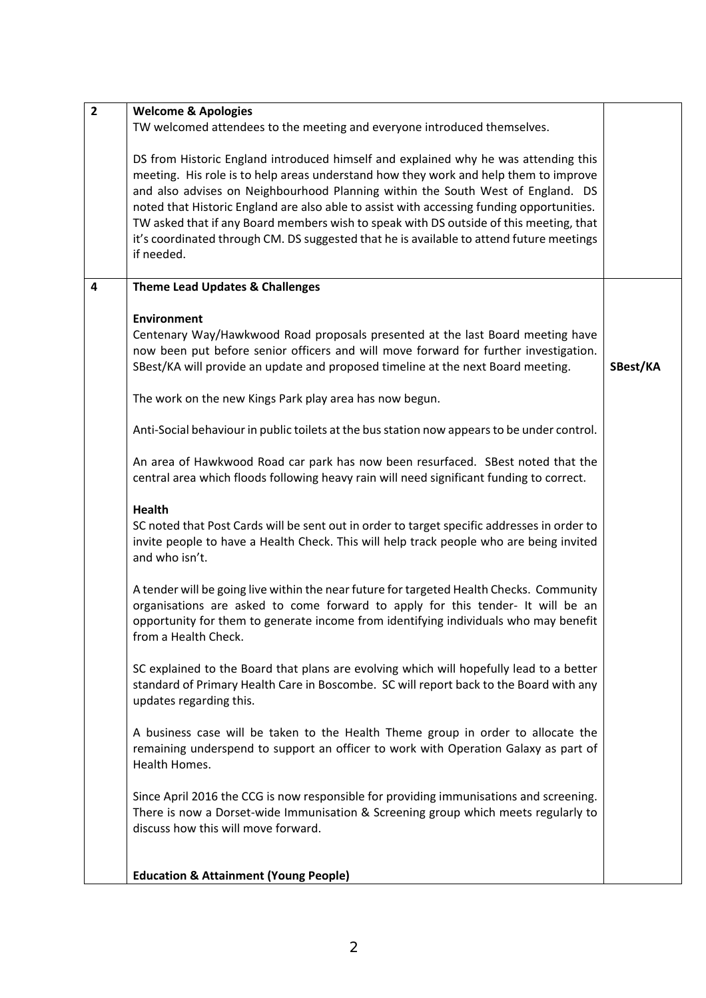| $\overline{2}$ | <b>Welcome &amp; Apologies</b>                                                                                                                                                                                                                                                                                                                                                                                                                                                                                                                                  |          |
|----------------|-----------------------------------------------------------------------------------------------------------------------------------------------------------------------------------------------------------------------------------------------------------------------------------------------------------------------------------------------------------------------------------------------------------------------------------------------------------------------------------------------------------------------------------------------------------------|----------|
|                | TW welcomed attendees to the meeting and everyone introduced themselves.                                                                                                                                                                                                                                                                                                                                                                                                                                                                                        |          |
|                | DS from Historic England introduced himself and explained why he was attending this<br>meeting. His role is to help areas understand how they work and help them to improve<br>and also advises on Neighbourhood Planning within the South West of England. DS<br>noted that Historic England are also able to assist with accessing funding opportunities.<br>TW asked that if any Board members wish to speak with DS outside of this meeting, that<br>it's coordinated through CM. DS suggested that he is available to attend future meetings<br>if needed. |          |
| 4              | <b>Theme Lead Updates &amp; Challenges</b>                                                                                                                                                                                                                                                                                                                                                                                                                                                                                                                      |          |
|                | <b>Environment</b><br>Centenary Way/Hawkwood Road proposals presented at the last Board meeting have<br>now been put before senior officers and will move forward for further investigation.<br>SBest/KA will provide an update and proposed timeline at the next Board meeting.                                                                                                                                                                                                                                                                                | SBest/KA |
|                | The work on the new Kings Park play area has now begun.                                                                                                                                                                                                                                                                                                                                                                                                                                                                                                         |          |
|                | Anti-Social behaviour in public toilets at the bus station now appears to be under control.                                                                                                                                                                                                                                                                                                                                                                                                                                                                     |          |
|                | An area of Hawkwood Road car park has now been resurfaced. SBest noted that the<br>central area which floods following heavy rain will need significant funding to correct.                                                                                                                                                                                                                                                                                                                                                                                     |          |
|                | <b>Health</b>                                                                                                                                                                                                                                                                                                                                                                                                                                                                                                                                                   |          |
|                | SC noted that Post Cards will be sent out in order to target specific addresses in order to<br>invite people to have a Health Check. This will help track people who are being invited<br>and who isn't.                                                                                                                                                                                                                                                                                                                                                        |          |
|                | A tender will be going live within the near future for targeted Health Checks. Community<br>organisations are asked to come forward to apply for this tender- It will be an<br>opportunity for them to generate income from identifying individuals who may benefit<br>from a Health Check.                                                                                                                                                                                                                                                                     |          |
|                | SC explained to the Board that plans are evolving which will hopefully lead to a better<br>standard of Primary Health Care in Boscombe. SC will report back to the Board with any<br>updates regarding this.                                                                                                                                                                                                                                                                                                                                                    |          |
|                | A business case will be taken to the Health Theme group in order to allocate the<br>remaining underspend to support an officer to work with Operation Galaxy as part of<br>Health Homes.                                                                                                                                                                                                                                                                                                                                                                        |          |
|                | Since April 2016 the CCG is now responsible for providing immunisations and screening.<br>There is now a Dorset-wide Immunisation & Screening group which meets regularly to<br>discuss how this will move forward.                                                                                                                                                                                                                                                                                                                                             |          |
|                |                                                                                                                                                                                                                                                                                                                                                                                                                                                                                                                                                                 |          |
|                | <b>Education &amp; Attainment (Young People)</b>                                                                                                                                                                                                                                                                                                                                                                                                                                                                                                                |          |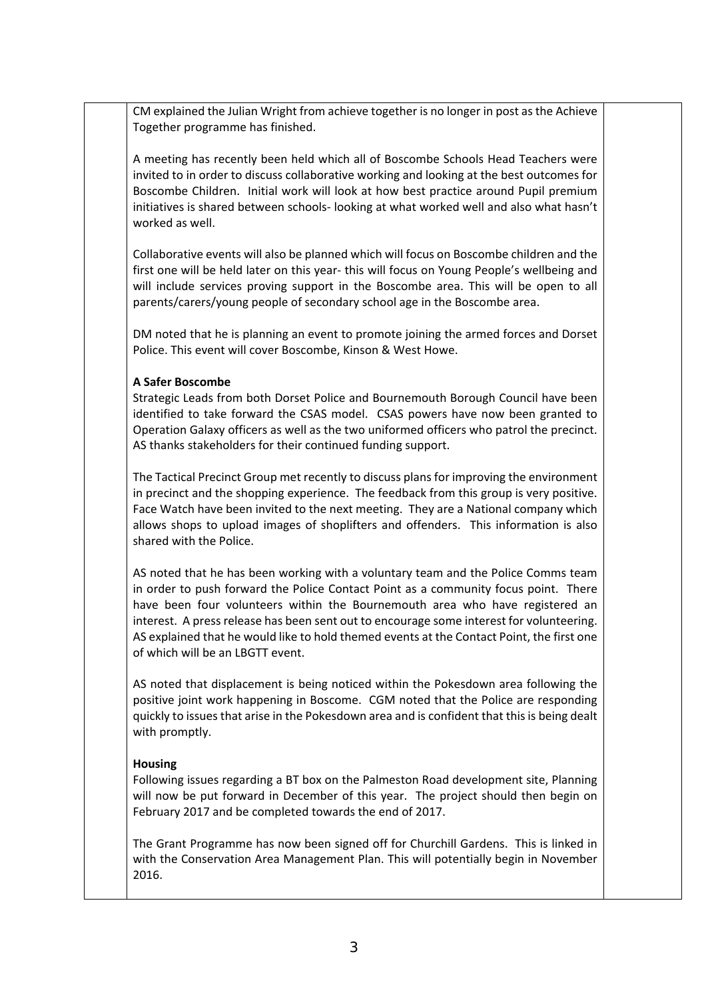CM explained the Julian Wright from achieve together is no longer in post as the Achieve Together programme has finished.

A meeting has recently been held which all of Boscombe Schools Head Teachers were invited to in order to discuss collaborative working and looking at the best outcomes for Boscombe Children. Initial work will look at how best practice around Pupil premium initiatives is shared between schools- looking at what worked well and also what hasn't worked as well.

Collaborative events will also be planned which will focus on Boscombe children and the first one will be held later on this year- this will focus on Young People's wellbeing and will include services proving support in the Boscombe area. This will be open to all parents/carers/young people of secondary school age in the Boscombe area.

DM noted that he is planning an event to promote joining the armed forces and Dorset Police. This event will cover Boscombe, Kinson & West Howe.

### **A Safer Boscombe**

Strategic Leads from both Dorset Police and Bournemouth Borough Council have been identified to take forward the CSAS model. CSAS powers have now been granted to Operation Galaxy officers as well as the two uniformed officers who patrol the precinct. AS thanks stakeholders for their continued funding support.

The Tactical Precinct Group met recently to discuss plans for improving the environment in precinct and the shopping experience. The feedback from this group is very positive. Face Watch have been invited to the next meeting. They are a National company which allows shops to upload images of shoplifters and offenders. This information is also shared with the Police.

AS noted that he has been working with a voluntary team and the Police Comms team in order to push forward the Police Contact Point as a community focus point. There have been four volunteers within the Bournemouth area who have registered an interest. A press release has been sent out to encourage some interest for volunteering. AS explained that he would like to hold themed events at the Contact Point, the first one of which will be an LBGTT event.

AS noted that displacement is being noticed within the Pokesdown area following the positive joint work happening in Boscome. CGM noted that the Police are responding quickly to issues that arise in the Pokesdown area and is confident that this is being dealt with promptly.

### **Housing**

Following issues regarding a BT box on the Palmeston Road development site, Planning will now be put forward in December of this year. The project should then begin on February 2017 and be completed towards the end of 2017.

The Grant Programme has now been signed off for Churchill Gardens. This is linked in with the Conservation Area Management Plan. This will potentially begin in November 2016.